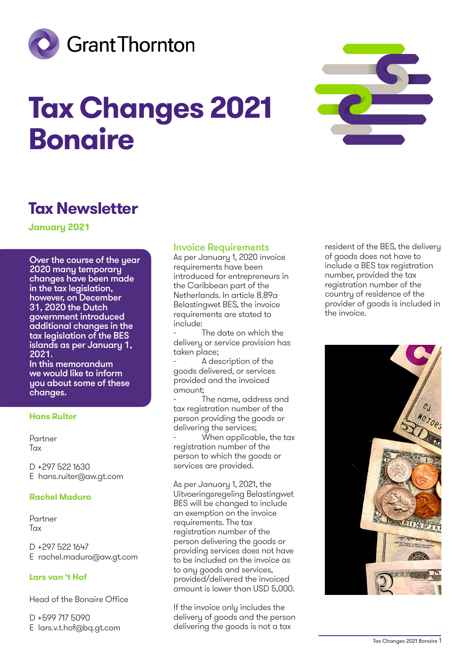

# **Tax Changes 2021 Bonaire**



# **Tax Newsletter**

**January 2021**

Over the course of the year 2020 many temporary changes have been made in the tax legislation, however, on December 31, 2020 the Dutch government introduced additional changes in the tax legislation of the BES islands as per January 1, 2021.

In this memorandum we would like to inform you about some of these changes.

#### **Hans Ruiter**

Partner Tax

D +297 522 1630 E hans.ruiter@aw.gt.com

#### **Rachel Maduro**

Partner Tax

D +297 522 1647 E rachel.maduro@aw.gt.com

#### **Lars van 't Hof**

Head of the Bonaire Office

D +599 717 5090 E lars.v.t.hof@bq.gt.com

### Invoice Requirements

As per January 1, 2020 invoice requirements have been introduced for entrepreneurs in the Caribbean part of the Netherlands. In article 8.89a Belastingwet BES, the invoice requirements are stated to include:

The date on which the delivery or service provision has taken place;

A description of the goods delivered, or services provided and the invoiced amount;

The name, address and tax registration number of the person providing the goods or delivering the services;

When applicable, the tax registration number of the person to which the goods or services are provided.

As per January 1, 2021, the Uitvoeringsregeling Belastingwet BES will be changed to include an exemption on the invoice requirements. The tax registration number of the person delivering the goods or providing services does not have to be included on the invoice as to any goods and services, provided/delivered the invoiced amount is lower than USD 5,000.

If the invoice only includes the delivery of goods and the person delivering the goods is not a tax

resident of the BES, the delivery of goods does not have to include a BES tax registration number, provided the tax registration number of the country of residence of the provider of goods is included in the invoice.